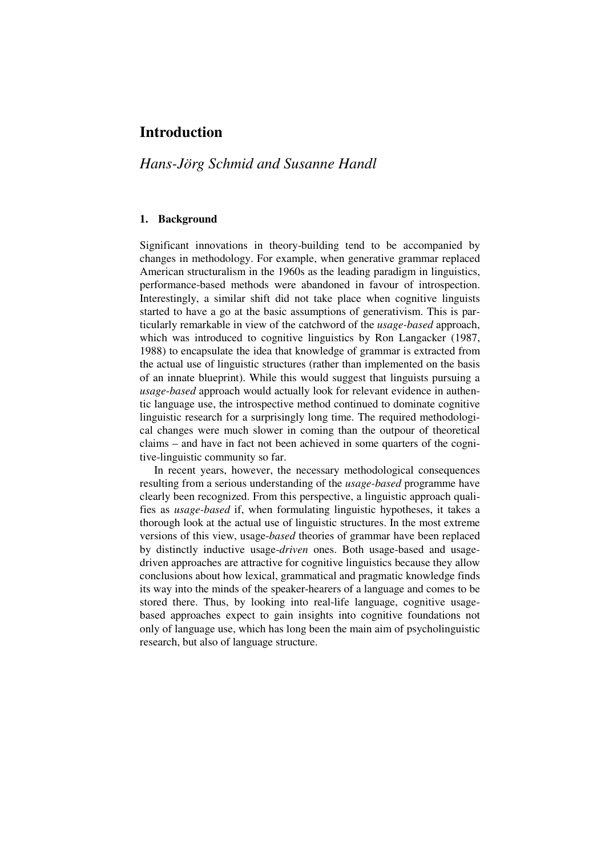# **Introduction**

# *Hans-Jörg Schmid and Susanne Handl*

## **1. Background**

Significant innovations in theory-building tend to be accompanied by changes in methodology. For example, when generative grammar replaced American structuralism in the 1960s as the leading paradigm in linguistics, performance-based methods were abandoned in favour of introspection. Interestingly, a similar shift did not take place when cognitive linguists started to have a go at the basic assumptions of generativism. This is particularly remarkable in view of the catchword of the *usage-based* approach, which was introduced to cognitive linguistics by Ron Langacker (1987, 1988) to encapsulate the idea that knowledge of grammar is extracted from the actual use of linguistic structures (rather than implemented on the basis of an innate blueprint). While this would suggest that linguists pursuing a *usage-based* approach would actually look for relevant evidence in authentic language use, the introspective method continued to dominate cognitive linguistic research for a surprisingly long time. The required methodological changes were much slower in coming than the outpour of theoretical claims – and have in fact not been achieved in some quarters of the cognitive-linguistic community so far.

In recent years, however, the necessary methodological consequences resulting from a serious understanding of the *usage-based* programme have clearly been recognized. From this perspective, a linguistic approach qualifies as *usage-based* if, when formulating linguistic hypotheses, it takes a thorough look at the actual use of linguistic structures. In the most extreme versions of this view, usage-*based* theories of grammar have been replaced by distinctly inductive usage-*driven* ones. Both usage-based and usagedriven approaches are attractive for cognitive linguistics because they allow conclusions about how lexical, grammatical and pragmatic knowledge finds its way into the minds of the speaker-hearers of a language and comes to be stored there. Thus, by looking into real-life language, cognitive usagebased approaches expect to gain insights into cognitive foundations not only of language use, which has long been the main aim of psycholinguistic research, but also of language structure.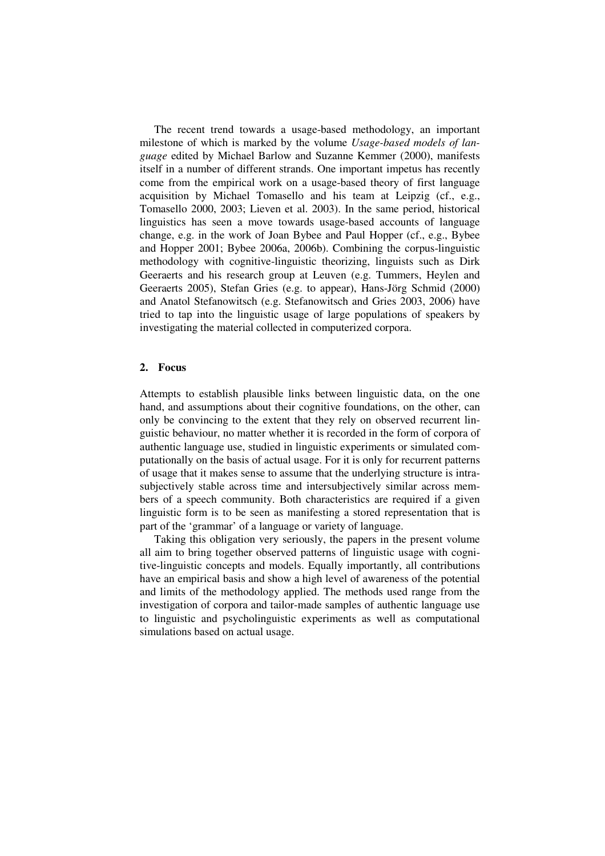The recent trend towards a usage-based methodology, an important milestone of which is marked by the volume *Usage-based models of language* edited by Michael Barlow and Suzanne Kemmer (2000), manifests itself in a number of different strands. One important impetus has recently come from the empirical work on a usage-based theory of first language acquisition by Michael Tomasello and his team at Leipzig (cf., e.g., Tomasello 2000, 2003; Lieven et al. 2003). In the same period, historical linguistics has seen a move towards usage-based accounts of language change, e.g. in the work of Joan Bybee and Paul Hopper (cf., e.g., Bybee and Hopper 2001; Bybee 2006a, 2006b). Combining the corpus-linguistic methodology with cognitive-linguistic theorizing, linguists such as Dirk Geeraerts and his research group at Leuven (e.g. Tummers, Heylen and Geeraerts 2005), Stefan Gries (e.g. to appear), Hans-Jörg Schmid (2000) and Anatol Stefanowitsch (e.g. Stefanowitsch and Gries 2003, 2006) have tried to tap into the linguistic usage of large populations of speakers by investigating the material collected in computerized corpora.

#### **2. Focus**

Attempts to establish plausible links between linguistic data, on the one hand, and assumptions about their cognitive foundations, on the other, can only be convincing to the extent that they rely on observed recurrent linguistic behaviour, no matter whether it is recorded in the form of corpora of authentic language use, studied in linguistic experiments or simulated computationally on the basis of actual usage. For it is only for recurrent patterns of usage that it makes sense to assume that the underlying structure is intrasubjectively stable across time and intersubjectively similar across members of a speech community. Both characteristics are required if a given linguistic form is to be seen as manifesting a stored representation that is part of the 'grammar' of a language or variety of language.

Taking this obligation very seriously, the papers in the present volume all aim to bring together observed patterns of linguistic usage with cognitive-linguistic concepts and models. Equally importantly, all contributions have an empirical basis and show a high level of awareness of the potential and limits of the methodology applied. The methods used range from the investigation of corpora and tailor-made samples of authentic language use to linguistic and psycholinguistic experiments as well as computational simulations based on actual usage.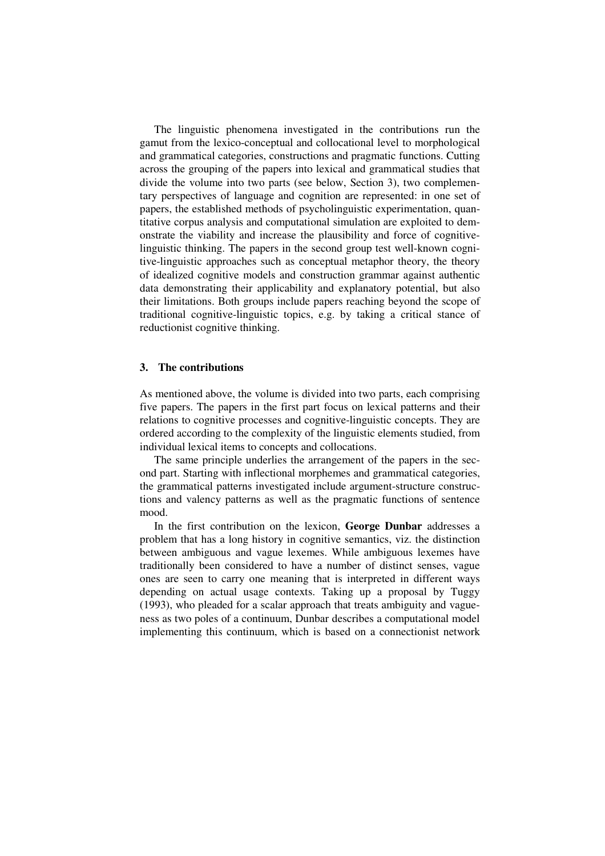The linguistic phenomena investigated in the contributions run the gamut from the lexico-conceptual and collocational level to morphological and grammatical categories, constructions and pragmatic functions. Cutting across the grouping of the papers into lexical and grammatical studies that divide the volume into two parts (see below, Section 3), two complementary perspectives of language and cognition are represented: in one set of papers, the established methods of psycholinguistic experimentation, quantitative corpus analysis and computational simulation are exploited to demonstrate the viability and increase the plausibility and force of cognitivelinguistic thinking. The papers in the second group test well-known cognitive-linguistic approaches such as conceptual metaphor theory, the theory of idealized cognitive models and construction grammar against authentic data demonstrating their applicability and explanatory potential, but also their limitations. Both groups include papers reaching beyond the scope of traditional cognitive-linguistic topics, e.g. by taking a critical stance of reductionist cognitive thinking.

### **3. The contributions**

As mentioned above, the volume is divided into two parts, each comprising five papers. The papers in the first part focus on lexical patterns and their relations to cognitive processes and cognitive-linguistic concepts. They are ordered according to the complexity of the linguistic elements studied, from individual lexical items to concepts and collocations.

The same principle underlies the arrangement of the papers in the second part. Starting with inflectional morphemes and grammatical categories, the grammatical patterns investigated include argument-structure constructions and valency patterns as well as the pragmatic functions of sentence mood.

In the first contribution on the lexicon, **George Dunbar** addresses a problem that has a long history in cognitive semantics, viz. the distinction between ambiguous and vague lexemes. While ambiguous lexemes have traditionally been considered to have a number of distinct senses, vague ones are seen to carry one meaning that is interpreted in different ways depending on actual usage contexts. Taking up a proposal by Tuggy (1993), who pleaded for a scalar approach that treats ambiguity and vagueness as two poles of a continuum, Dunbar describes a computational model implementing this continuum, which is based on a connectionist network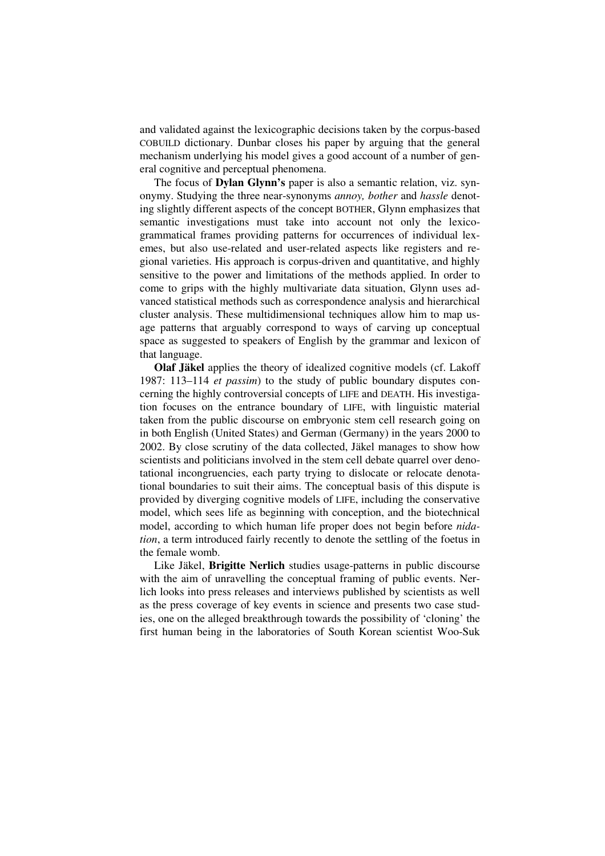and validated against the lexicographic decisions taken by the corpus-based COBUILD dictionary. Dunbar closes his paper by arguing that the general mechanism underlying his model gives a good account of a number of general cognitive and perceptual phenomena.

The focus of **Dylan Glynn's** paper is also a semantic relation, viz. synonymy. Studying the three near-synonyms *annoy, bother* and *hassle* denoting slightly different aspects of the concept BOTHER, Glynn emphasizes that semantic investigations must take into account not only the lexicogrammatical frames providing patterns for occurrences of individual lexemes, but also use-related and user-related aspects like registers and regional varieties. His approach is corpus-driven and quantitative, and highly sensitive to the power and limitations of the methods applied. In order to come to grips with the highly multivariate data situation, Glynn uses advanced statistical methods such as correspondence analysis and hierarchical cluster analysis. These multidimensional techniques allow him to map usage patterns that arguably correspond to ways of carving up conceptual space as suggested to speakers of English by the grammar and lexicon of that language.

**Olaf Jäkel** applies the theory of idealized cognitive models (cf. Lakoff 1987: 113–114 *et passim*) to the study of public boundary disputes concerning the highly controversial concepts of LIFE and DEATH. His investigation focuses on the entrance boundary of LIFE, with linguistic material taken from the public discourse on embryonic stem cell research going on in both English (United States) and German (Germany) in the years 2000 to 2002. By close scrutiny of the data collected, Jäkel manages to show how scientists and politicians involved in the stem cell debate quarrel over denotational incongruencies, each party trying to dislocate or relocate denotational boundaries to suit their aims. The conceptual basis of this dispute is provided by diverging cognitive models of LIFE, including the conservative model, which sees life as beginning with conception, and the biotechnical model, according to which human life proper does not begin before *nidation*, a term introduced fairly recently to denote the settling of the foetus in the female womb.

Like Jäkel, **Brigitte Nerlich** studies usage-patterns in public discourse with the aim of unravelling the conceptual framing of public events. Nerlich looks into press releases and interviews published by scientists as well as the press coverage of key events in science and presents two case studies, one on the alleged breakthrough towards the possibility of 'cloning' the first human being in the laboratories of South Korean scientist Woo-Suk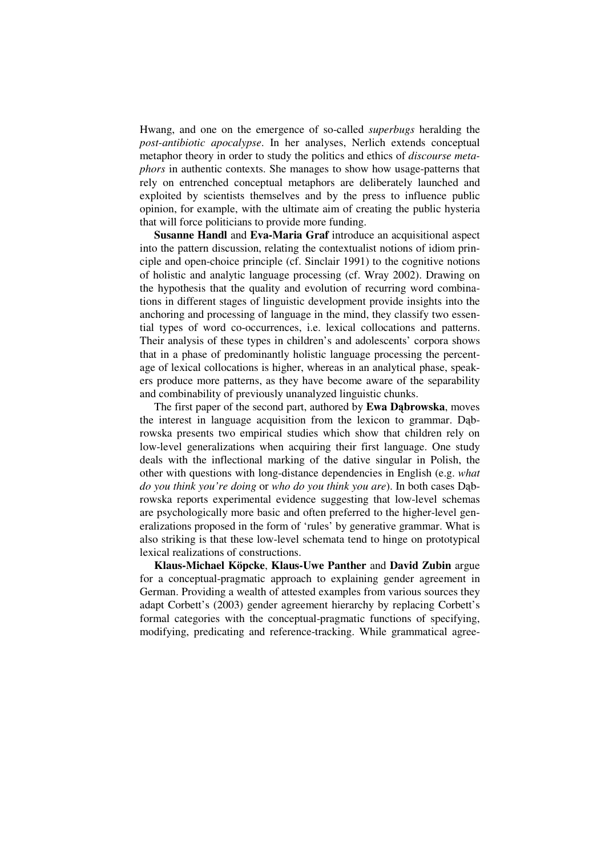Hwang, and one on the emergence of so-called *superbugs* heralding the *post-antibiotic apocalypse*. In her analyses, Nerlich extends conceptual metaphor theory in order to study the politics and ethics of *discourse metaphors* in authentic contexts. She manages to show how usage-patterns that rely on entrenched conceptual metaphors are deliberately launched and exploited by scientists themselves and by the press to influence public opinion, for example, with the ultimate aim of creating the public hysteria that will force politicians to provide more funding.

**Susanne Handl** and **Eva-Maria Graf** introduce an acquisitional aspect into the pattern discussion, relating the contextualist notions of idiom principle and open-choice principle (cf. Sinclair 1991) to the cognitive notions of holistic and analytic language processing (cf. Wray 2002). Drawing on the hypothesis that the quality and evolution of recurring word combinations in different stages of linguistic development provide insights into the anchoring and processing of language in the mind, they classify two essential types of word co-occurrences, i.e. lexical collocations and patterns. Their analysis of these types in children's and adolescents' corpora shows that in a phase of predominantly holistic language processing the percentage of lexical collocations is higher, whereas in an analytical phase, speakers produce more patterns, as they have become aware of the separability and combinability of previously unanalyzed linguistic chunks.

The first paper of the second part, authored by **Ewa Dąbrowska**, moves the interest in language acquisition from the lexicon to grammar. Dąbrowska presents two empirical studies which show that children rely on low-level generalizations when acquiring their first language. One study deals with the inflectional marking of the dative singular in Polish, the other with questions with long-distance dependencies in English (e.g. *what do you think you're doing* or *who do you think you are*). In both cases Dąbrowska reports experimental evidence suggesting that low-level schemas are psychologically more basic and often preferred to the higher-level generalizations proposed in the form of 'rules' by generative grammar. What is also striking is that these low-level schemata tend to hinge on prototypical lexical realizations of constructions.

**Klaus-Michael Köpcke**, **Klaus-Uwe Panther** and **David Zubin** argue for a conceptual-pragmatic approach to explaining gender agreement in German. Providing a wealth of attested examples from various sources they adapt Corbett's (2003) gender agreement hierarchy by replacing Corbett's formal categories with the conceptual-pragmatic functions of specifying, modifying, predicating and reference-tracking. While grammatical agree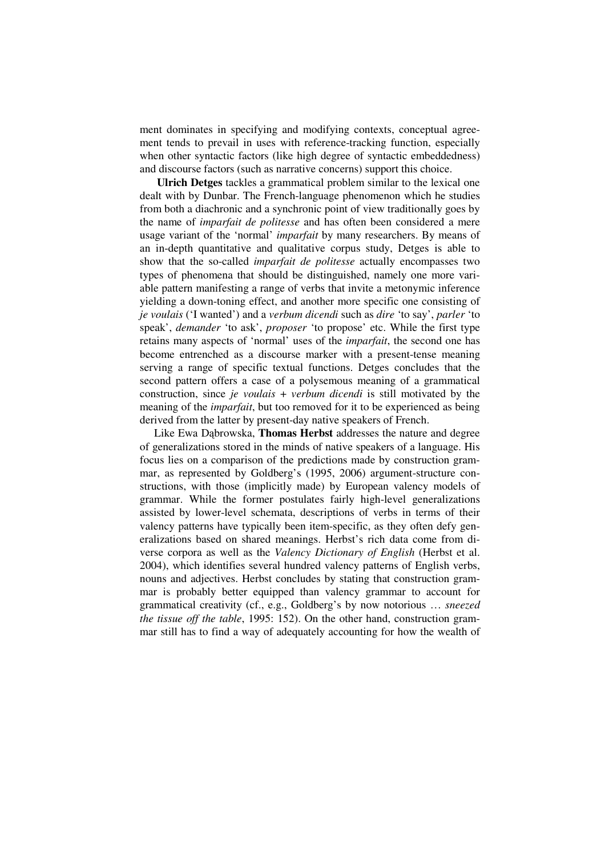ment dominates in specifying and modifying contexts, conceptual agreement tends to prevail in uses with reference-tracking function, especially when other syntactic factors (like high degree of syntactic embeddedness) and discourse factors (such as narrative concerns) support this choice.

 **Ulrich Detges** tackles a grammatical problem similar to the lexical one dealt with by Dunbar. The French-language phenomenon which he studies from both a diachronic and a synchronic point of view traditionally goes by the name of *imparfait de politesse* and has often been considered a mere usage variant of the 'normal' *imparfait* by many researchers. By means of an in-depth quantitative and qualitative corpus study, Detges is able to show that the so-called *imparfait de politesse* actually encompasses two types of phenomena that should be distinguished, namely one more variable pattern manifesting a range of verbs that invite a metonymic inference yielding a down-toning effect, and another more specific one consisting of *je voulais* ('I wanted') and a *verbum dicendi* such as *dire* 'to say', *parler* 'to speak', *demander* 'to ask', *proposer* 'to propose' etc. While the first type retains many aspects of 'normal' uses of the *imparfait*, the second one has become entrenched as a discourse marker with a present-tense meaning serving a range of specific textual functions. Detges concludes that the second pattern offers a case of a polysemous meaning of a grammatical construction, since *je voulais* + *verbum dicendi* is still motivated by the meaning of the *imparfait*, but too removed for it to be experienced as being derived from the latter by present-day native speakers of French.

Like Ewa Dąbrowska, **Thomas Herbst** addresses the nature and degree of generalizations stored in the minds of native speakers of a language. His focus lies on a comparison of the predictions made by construction grammar, as represented by Goldberg's (1995, 2006) argument-structure constructions, with those (implicitly made) by European valency models of grammar. While the former postulates fairly high-level generalizations assisted by lower-level schemata, descriptions of verbs in terms of their valency patterns have typically been item-specific, as they often defy generalizations based on shared meanings. Herbst's rich data come from diverse corpora as well as the *Valency Dictionary of English* (Herbst et al. 2004), which identifies several hundred valency patterns of English verbs, nouns and adjectives. Herbst concludes by stating that construction grammar is probably better equipped than valency grammar to account for grammatical creativity (cf., e.g., Goldberg's by now notorious … *sneezed the tissue off the table*, 1995: 152). On the other hand, construction grammar still has to find a way of adequately accounting for how the wealth of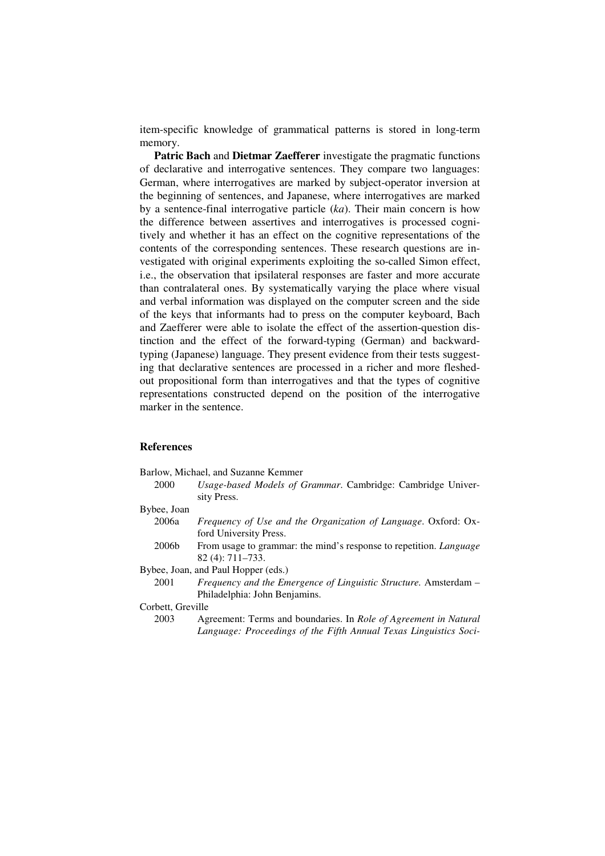item-specific knowledge of grammatical patterns is stored in long-term memory.

**Patric Bach** and **Dietmar Zaefferer** investigate the pragmatic functions of declarative and interrogative sentences. They compare two languages: German, where interrogatives are marked by subject-operator inversion at the beginning of sentences, and Japanese, where interrogatives are marked by a sentence-final interrogative particle (*ka*). Their main concern is how the difference between assertives and interrogatives is processed cognitively and whether it has an effect on the cognitive representations of the contents of the corresponding sentences. These research questions are investigated with original experiments exploiting the so-called Simon effect, i.e., the observation that ipsilateral responses are faster and more accurate than contralateral ones. By systematically varying the place where visual and verbal information was displayed on the computer screen and the side of the keys that informants had to press on the computer keyboard, Bach and Zaefferer were able to isolate the effect of the assertion-question distinction and the effect of the forward-typing (German) and backwardtyping (Japanese) language. They present evidence from their tests suggesting that declarative sentences are processed in a richer and more fleshedout propositional form than interrogatives and that the types of cognitive representations constructed depend on the position of the interrogative marker in the sentence.

#### **References**

| Barlow, Michael, and Suzanne Kemmer |  |  |
|-------------------------------------|--|--|
|-------------------------------------|--|--|

 2000 *Usage-based Models of Grammar*. Cambridge: Cambridge University Press.

#### Bybee, Joan

- 2006a *Frequency of Use and the Organization of Language*. Oxford: Oxford University Press.
- 2006b From usage to grammar: the mind's response to repetition. *Language* 82 (4): 711–733.

#### Bybee, Joan, and Paul Hopper (eds.)

 2001 *Frequency and the Emergence of Linguistic Structure.* Amsterdam – Philadelphia: John Benjamins.

#### Corbett, Greville

 2003 Agreement: Terms and boundaries. In *Role of Agreement in Natural Language: Proceedings of the Fifth Annual Texas Linguistics Soci-*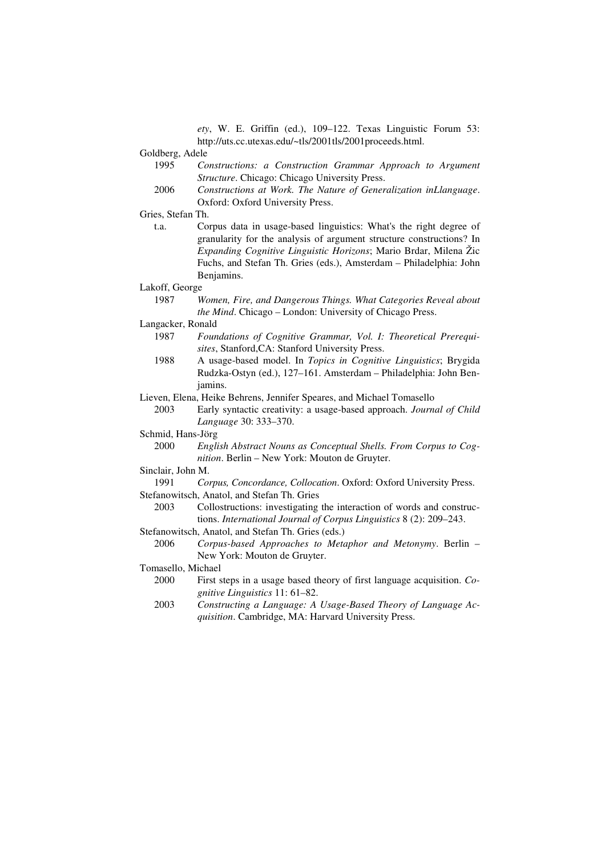*ety*, W. E. Griffin (ed.), 109–122. Texas Linguistic Forum 53: http://uts.cc.utexas.edu/~tls/2001tls/2001proceeds.html.

#### Goldberg, Adele

- 1995 *Constructions: a Construction Grammar Approach to Argument Structure*. Chicago: Chicago University Press.
- 2006 *Constructions at Work. The Nature of Generalization inLlanguage*. Oxford: Oxford University Press.

#### Gries, Stefan Th.

 t.a. Corpus data in usage-based linguistics: What's the right degree of granularity for the analysis of argument structure constructions? In *Expanding Cognitive Linguistic Horizons*; Mario Brdar, Milena Žic Fuchs, and Stefan Th. Gries (eds.), Amsterdam – Philadelphia: John Benjamins.

#### Lakoff, George

- 1987 *Women, Fire, and Dangerous Things. What Categories Reveal about the Mind*. Chicago – London: University of Chicago Press.
- Langacker, Ronald
	- 1987 *Foundations of Cognitive Grammar, Vol. I: Theoretical Prerequisites*, Stanford,CA: Stanford University Press.
	- 1988 A usage-based model. In *Topics in Cognitive Linguistics*; Brygida Rudzka-Ostyn (ed.), 127–161. Amsterdam – Philadelphia: John Benjamins.
- Lieven, Elena, Heike Behrens, Jennifer Speares, and Michael Tomasello
	- 2003 Early syntactic creativity: a usage-based approach. *Journal of Child Language* 30: 333–370.

#### Schmid, Hans-Jörg

 2000 *English Abstract Nouns as Conceptual Shells. From Corpus to Cognition*. Berlin – New York: Mouton de Gruyter.

#### Sinclair, John M.

- 1991 *Corpus, Concordance, Collocation*. Oxford: Oxford University Press.
- Stefanowitsch, Anatol, and Stefan Th. Gries
	- 2003 Collostructions: investigating the interaction of words and constructions. *International Journal of Corpus Linguistics* 8 (2): 209–243.
- Stefanowitsch, Anatol, and Stefan Th. Gries (eds.)
- 2006 *Corpus-based Approaches to Metaphor and Metonymy*. Berlin New York: Mouton de Gruyter.
- Tomasello, Michael
	- 2000 First steps in a usage based theory of first language acquisition. *Cognitive Linguistics* 11: 61–82.
	- 2003 *Constructing a Language: A Usage-Based Theory of Language Acquisition*. Cambridge, MA: Harvard University Press.